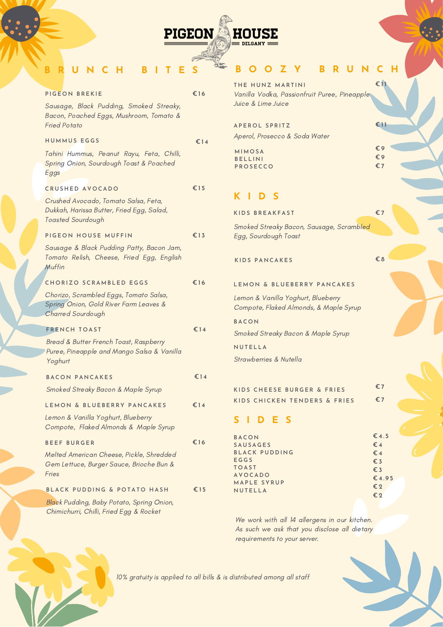## **PIGEON HOUSE DELGANY E**

## **B R U N C H B I T E S**

| PIGEON BREKIE                                                                                                 | €16 |
|---------------------------------------------------------------------------------------------------------------|-----|
| Sausage, Black Pudding, Smoked Streaky,<br>Bacon, Poached Eggs, Mushroom, Tomato &<br><b>Fried Potato</b>     |     |
| <b>HUMMUS EGGS</b>                                                                                            | €14 |
| Tahini Hummus, Peanut Rayu, Feta, Chilli,<br>Spring Onion, Sourdough Toast & Poached<br>Eggs                  |     |
| <b>CRUSHED AVOCADO</b>                                                                                        | €15 |
| Crushed Avocado, Tomato Salsa, Feta,<br>Dukkah, Harissa Butter, Fried Egg, Salad,<br><b>Toasted Sourdough</b> |     |
| PIGEON HOUSE MUFFIN                                                                                           | €13 |
| Sausage & Black Pudding Patty, Bacon Jam,<br>Tomato Relish, Cheese, Fried Egg, English<br>Muffin              |     |
| <b>CHORIZO SCRAMBLED EGGS</b>                                                                                 | €16 |
| Chorizo, Scrambled Eggs, Tomato Salsa,<br>Spring Onion, Gold River Farm Leaves &<br><b>Charred Sourdough</b>  |     |
| <b>FRENCH TOAST</b>                                                                                           | €14 |
| Bread & Butter French Toast, Raspberry<br>Puree, Pineapple and Mango Salsa & Vanilla<br>Yoghurt               |     |
| <b>BACON PANCAKES</b>                                                                                         | €14 |
| Smoked Streaky Bacon & Maple Syrup                                                                            |     |
| LEMON & BLUEBERRY PANCAKES                                                                                    | €14 |
| Lemon & Vanilla Yoghurt, Blueberry<br>Compote, Flaked Almonds & Maple Syrup                                   |     |
| <b>BEEF BURGER</b>                                                                                            | €16 |
| Melted American Cheese, Pickle, Shredded<br>Gem Lettuce, Burger Sauce, Brioche Bun &<br>Fries                 |     |
| BLACK PUDDING & POTATO HASH                                                                                   | €15 |
| Black Pudding, Baby Potato, Spring Onion,<br>Chimichurri, Chilli, Fried Egg & Rocket                          |     |

## **B O O Z Y B R U N C H**

**€ 1 1**

**€ 1 1**

**€ 9 € 9 € 7**

 $THE$  **HUNZ** MARTINI Vanilla Vodka, Passionfruit Puree, Pineapple Juice & Lime Juice

**AP E R O L S P R I T Z** Aperol, Prosecco & Soda Water

**M I M O SA B E L L I N I P R O S ECC O**

## **K I D S**

| KIDS BREAKFAST                                                               | €7                           |  |  |  |
|------------------------------------------------------------------------------|------------------------------|--|--|--|
| Smoked Streaky Bacon, Sausage, Scrambled<br>Egg, Sourdough Toast             |                              |  |  |  |
| <b>KIDS PANCAKES</b>                                                         | €8                           |  |  |  |
| LEMON & BLUEBERRY PANCAKES                                                   |                              |  |  |  |
| Lemon & Vanilla Yoghurt, Blueberry<br>Compote, Flaked Almonds, & Maple Syrup |                              |  |  |  |
| <b>BACON</b>                                                                 |                              |  |  |  |
| Smoked Streaky Bacon & Maple Syrup                                           |                              |  |  |  |
| NUTELLA                                                                      |                              |  |  |  |
| Strawberries & Nutella                                                       |                              |  |  |  |
|                                                                              |                              |  |  |  |
| KIDS CHEESE BURGER & FRIES                                                   | €7                           |  |  |  |
| KIDS CHICKEN TENDERS & FRIES                                                 | €7                           |  |  |  |
| S I D E S                                                                    |                              |  |  |  |
| <b>BACON</b>                                                                 | $\epsilon$ 4.5               |  |  |  |
| <b>SAUSAGES</b><br><b>BLACK PUDDING</b>                                      | $\epsilon$ 4<br>$\epsilon$ 4 |  |  |  |
| EGGS                                                                         | $\epsilon$ <sub>3</sub>      |  |  |  |
| <b>TOAST</b>                                                                 | $\epsilon$ <sub>3</sub>      |  |  |  |
| <b>AVOCADO</b>                                                               | £4.95                        |  |  |  |
| MAPLE SYRUP<br>NUTELLA                                                       | €2                           |  |  |  |
|                                                                              | €2                           |  |  |  |

We work with all 14 allergens in our kitchen. As such we ask that you disclose all dietary requirements to your server.

10% gratuity is applied to all bills & is distributed among all staff